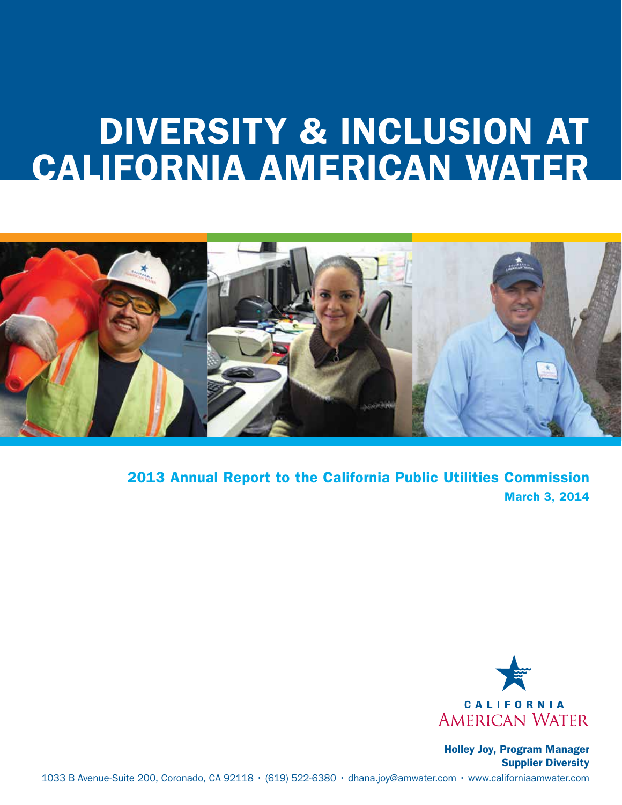### Utility Supplier Diversity Program DIVERSITY & INCLUSION AT CALIFORNIA AMERICAN WATER



2013 Annual Report to the California Public Utilities Commission March 3, 2014



Holley Joy, Program Manager Supplier Diversity 1033 B Avenue-Suite 200, Coronado, CA 92118 • (619) 522-6380 • dhana.joy@amwater.com • www.californiaamwater.com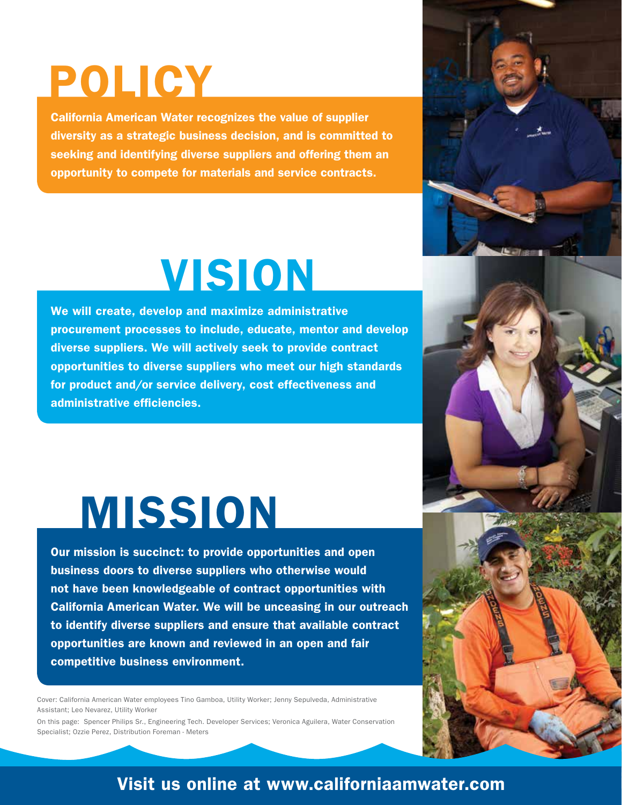## POLICY

California American Water recognizes the value of supplier diversity as a strategic business decision, and is committed to seeking and identifying diverse suppliers and offering them an opportunity to compete for materials and service contracts.

## VISION

We will create, develop and maximize administrative procurement processes to include, educate, mentor and develop diverse suppliers. We will actively seek to provide contract opportunities to diverse suppliers who meet our high standards for product and/or service delivery, cost effectiveness and administrative efficiencies.

### MISSION

Our mission is succinct: to provide opportunities and open business doors to diverse suppliers who otherwise would not have been knowledgeable of contract opportunities with California American Water. We will be unceasing in our outreach to identify diverse suppliers and ensure that available contract opportunities are known and reviewed in an open and fair competitive business environment.

Cover: California American Water employees Tino Gamboa, Utility Worker; Jenny Sepulveda, Administrative Assistant; Leo Nevarez, Utility Worker

On this page: Spencer Philips Sr., Engineering Tech. Developer Services; Veronica Aguilera, Water Conservation Specialist; Ozzie Perez, Distribution Foreman - Meters

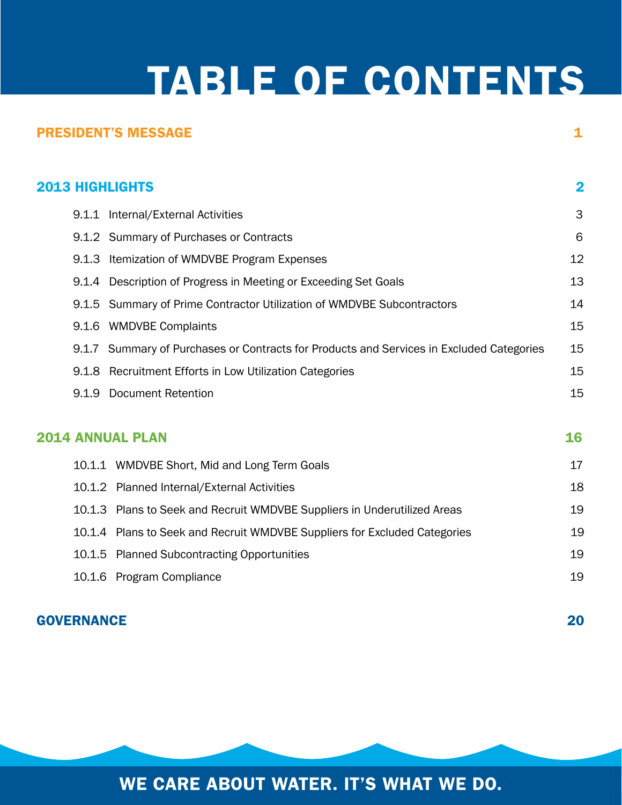### TABLE OF CONTENTS

|                        | <b>PRESIDENT'S MESSAGE</b>                                                               | 1  |
|------------------------|------------------------------------------------------------------------------------------|----|
| <b>2013 HIGHLIGHTS</b> |                                                                                          | 2  |
|                        | 9.1.1 Internal/External Activities                                                       | 3  |
|                        | 9.1.2 Summary of Purchases or Contracts                                                  | 6  |
|                        | 9.1.3 Itemization of WMDVBE Program Expenses                                             | 12 |
|                        | 9.1.4 Description of Progress in Meeting or Exceeding Set Goals                          | 13 |
|                        | 9.1.5 Summary of Prime Contractor Utilization of WMDVBE Subcontractors                   | 14 |
|                        | 9.1.6 WMDVBE Complaints                                                                  | 15 |
|                        | 9.1.7 Summary of Purchases or Contracts for Products and Services in Excluded Categories | 15 |
|                        | 9.1.8 Recruitment Efforts in Low Utilization Categories                                  | 15 |
|                        | 9.1.9 Document Retention                                                                 | 15 |
|                        | <b>2014 ANNUAL PLAN</b>                                                                  | 16 |
|                        | 10.1.1 WMDVBE Short, Mid and Long Term Goals                                             | 17 |
|                        | 10.1.2 Planned Internal/External Activities                                              | 18 |
|                        | 10.1.3 Plans to Seek and Recruit WMDVBE Suppliers in Underutilized Areas                 | 19 |
|                        | 10.1.4 Plans to Seek and Recruit WMDVBE Suppliers for Excluded Categories                | 19 |
|                        | 10.1.5 Planned Subcontracting Opportunities                                              | 19 |
|                        | 10.1.6 Program Compliance                                                                | 19 |

#### GOVERNANCE 20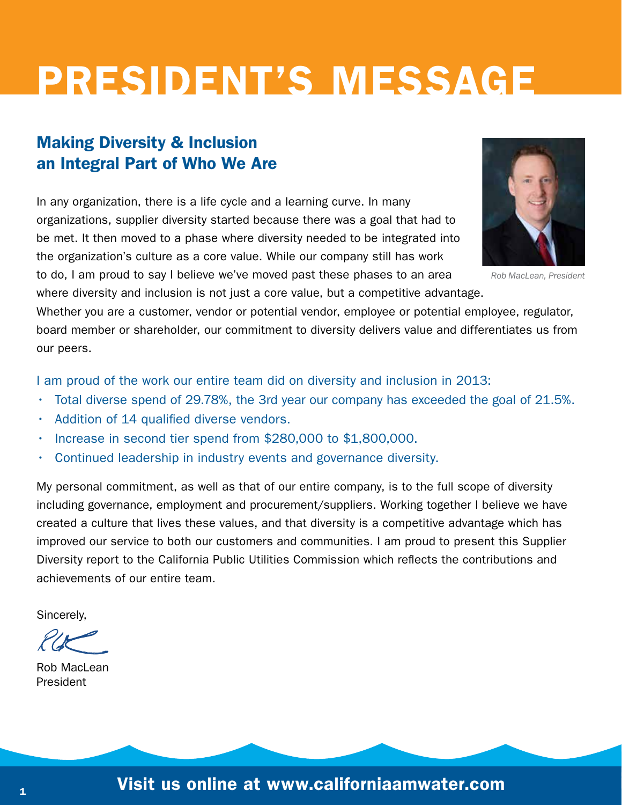## PRESIDENT'S MESSAGE

#### Making Diversity & Inclusion an Integral Part of Who We Are

In any organization, there is a life cycle and a learning curve. In many organizations, supplier diversity started because there was a goal that had to be met. It then moved to a phase where diversity needed to be integrated into the organization's culture as a core value. While our company still has work

*Rob MacLean, President*

to do, I am proud to say I believe we've moved past these phases to an area where diversity and inclusion is not just a core value, but a competitive advantage.

Whether you are a customer, vendor or potential vendor, employee or potential employee, regulator, board member or shareholder, our commitment to diversity delivers value and differentiates us from our peers.

I am proud of the work our entire team did on diversity and inclusion in 2013:

- Total diverse spend of 29.78%, the 3rd year our company has exceeded the goal of 21.5%.
- Addition of 14 qualified diverse vendors.
- Increase in second tier spend from \$280,000 to \$1,800,000.
- Continued leadership in industry events and governance diversity.

My personal commitment, as well as that of our entire company, is to the full scope of diversity including governance, employment and procurement/suppliers. Working together I believe we have created a culture that lives these values, and that diversity is a competitive advantage which has improved our service to both our customers and communities. I am proud to present this Supplier Diversity report to the California Public Utilities Commission which reflects the contributions and achievements of our entire team.

Sincerely,

Rob MacLean President

 $\mathbf{I}_1$  visit us online at www.californiaamwater.com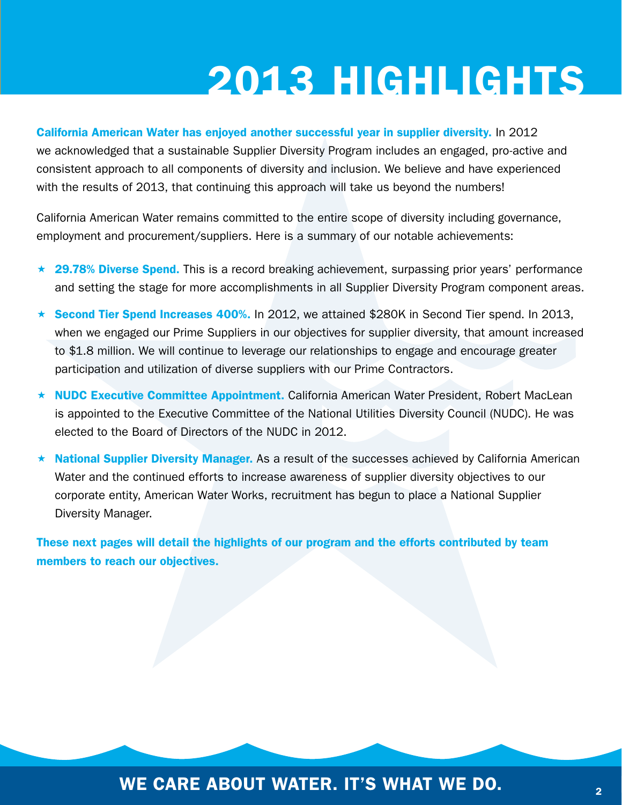California American Water has enjoyed another successful year in supplier diversity. In 2012 we acknowledged that a sustainable Supplier Diversity Program includes an engaged, pro-active and consistent approach to all components of diversity and inclusion. We believe and have experienced with the results of 2013, that continuing this approach will take us beyond the numbers!

California American Water remains committed to the entire scope of diversity including governance, employment and procurement/suppliers. Here is a summary of our notable achievements:

- ★ 29.78% Diverse Spend. This is a record breaking achievement, surpassing prior years' performance and setting the stage for more accomplishments in all Supplier Diversity Program component areas.
- $\star$  Second Tier Spend Increases 400%. In 2012, we attained \$280K in Second Tier spend. In 2013, when we engaged our Prime Suppliers in our objectives for supplier diversity, that amount increased to \$1.8 million. We will continue to leverage our relationships to engage and encourage greater participation and utilization of diverse suppliers with our Prime Contractors.
- \* NUDC Executive Committee Appointment. California American Water President, Robert MacLean is appointed to the Executive Committee of the National Utilities Diversity Council (NUDC). He was elected to the Board of Directors of the NUDC in 2012.
- $\star$  National Supplier Diversity Manager. As a result of the successes achieved by California American Water and the continued efforts to increase awareness of supplier diversity objectives to our corporate entity, American Water Works, recruitment has begun to place a National Supplier Diversity Manager.

These next pages will detail the highlights of our program and the efforts contributed by team members to reach our objectives.

#### WE CARE ABOUT WATER. IT'S WHAT WE DO.  $\frac{2}{3}$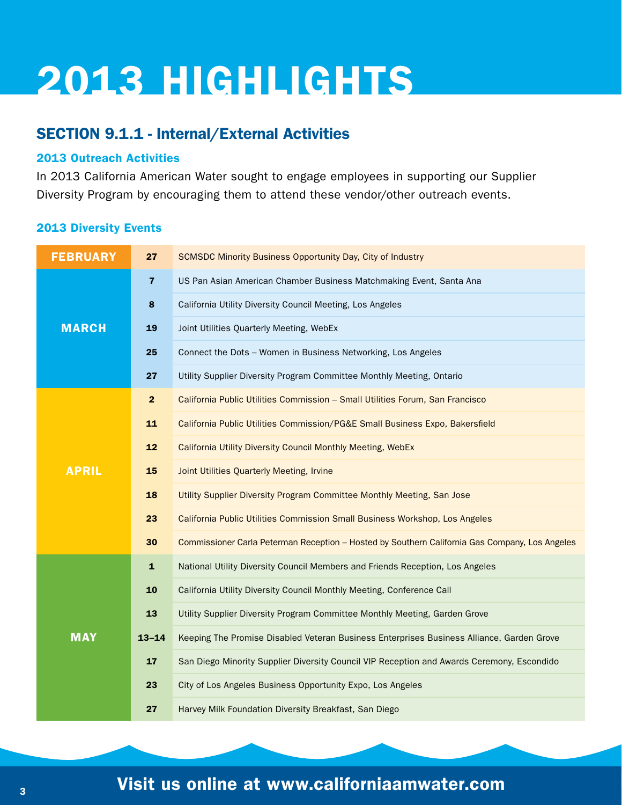#### SECTION 9.1.1 - Internal/External Activities

#### 2013 Outreach Activities

In 2013 California American Water sought to engage employees in supporting our Supplier Diversity Program by encouraging them to attend these vendor/other outreach events.

#### 2013 Diversity Events

| <b>FEBRUARY</b> | 27                      | <b>SCMSDC Minority Business Opportunity Day, City of Industry</b>                              |
|-----------------|-------------------------|------------------------------------------------------------------------------------------------|
|                 | $\overline{7}$          | US Pan Asian American Chamber Business Matchmaking Event, Santa Ana                            |
|                 | 8                       | California Utility Diversity Council Meeting, Los Angeles                                      |
| <b>MARCH</b>    | 19                      | Joint Utilities Quarterly Meeting, WebEx                                                       |
|                 | 25                      | Connect the Dots - Women in Business Networking, Los Angeles                                   |
|                 | 27                      | Utility Supplier Diversity Program Committee Monthly Meeting, Ontario                          |
|                 | $\overline{\mathbf{2}}$ | California Public Utilities Commission - Small Utilities Forum, San Francisco                  |
|                 | 11                      | California Public Utilities Commission/PG&E Small Business Expo, Bakersfield                   |
|                 | 12                      | California Utility Diversity Council Monthly Meeting, WebEx                                    |
| <b>APRIL</b>    | 15                      | Joint Utilities Quarterly Meeting, Irvine                                                      |
|                 | 18                      | Utility Supplier Diversity Program Committee Monthly Meeting, San Jose                         |
|                 | 23                      | California Public Utilities Commission Small Business Workshop, Los Angeles                    |
|                 | 30                      | Commissioner Carla Peterman Reception - Hosted by Southern California Gas Company, Los Angeles |
|                 | $\mathbf{1}$            | National Utility Diversity Council Members and Friends Reception, Los Angeles                  |
|                 | 10                      | California Utility Diversity Council Monthly Meeting, Conference Call                          |
|                 | 13                      | Utility Supplier Diversity Program Committee Monthly Meeting, Garden Grove                     |
| <b>MAY</b>      | $13 - 14$               | Keeping The Promise Disabled Veteran Business Enterprises Business Alliance, Garden Grove      |
|                 | 17                      | San Diego Minority Supplier Diversity Council VIP Reception and Awards Ceremony, Escondido     |
|                 | 23                      | City of Los Angeles Business Opportunity Expo, Los Angeles                                     |
|                 | 27                      | Harvey Milk Foundation Diversity Breakfast, San Diego                                          |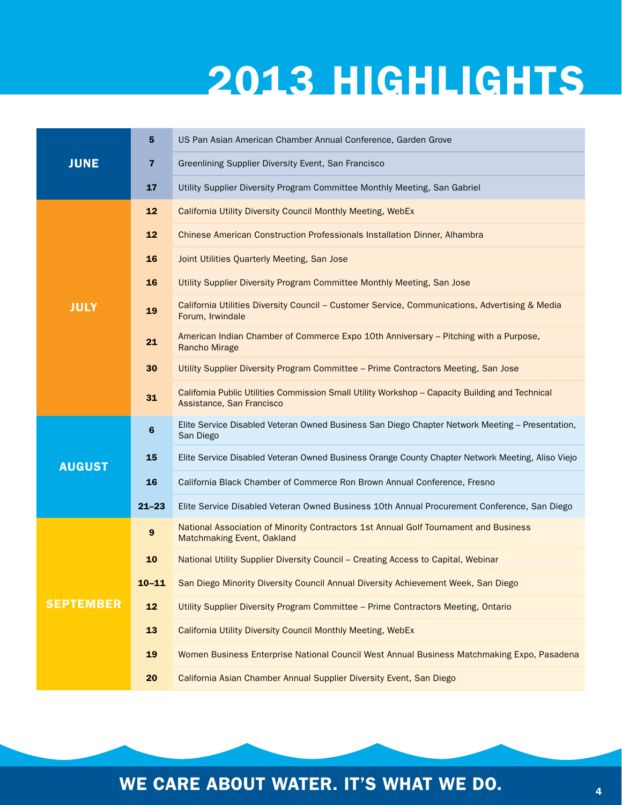|                  | 5                       | US Pan Asian American Chamber Annual Conference, Garden Grove                                                                |
|------------------|-------------------------|------------------------------------------------------------------------------------------------------------------------------|
| <b>JUNE</b>      | $\overline{\mathbf{z}}$ | Greenlining Supplier Diversity Event, San Francisco                                                                          |
|                  | 17                      | Utility Supplier Diversity Program Committee Monthly Meeting, San Gabriel                                                    |
|                  | 12                      | California Utility Diversity Council Monthly Meeting, WebEx                                                                  |
|                  | 12                      | Chinese American Construction Professionals Installation Dinner, Alhambra                                                    |
|                  | 16                      | Joint Utilities Quarterly Meeting, San Jose                                                                                  |
|                  | 16                      | Utility Supplier Diversity Program Committee Monthly Meeting, San Jose                                                       |
| <b>JULY</b>      | 19                      | California Utilities Diversity Council - Customer Service, Communications, Advertising & Media<br>Forum, Irwindale           |
|                  | 21                      | American Indian Chamber of Commerce Expo 10th Anniversary - Pitching with a Purpose,<br><b>Rancho Mirage</b>                 |
|                  | 30                      | Utility Supplier Diversity Program Committee - Prime Contractors Meeting, San Jose                                           |
|                  | 31                      | California Public Utilities Commission Small Utility Workshop - Capacity Building and Technical<br>Assistance, San Francisco |
|                  | 6                       | Elite Service Disabled Veteran Owned Business San Diego Chapter Network Meeting - Presentation,<br>San Diego                 |
| <b>AUGUST</b>    | 15                      | Elite Service Disabled Veteran Owned Business Orange County Chapter Network Meeting, Aliso Viejo                             |
|                  | 16                      | California Black Chamber of Commerce Ron Brown Annual Conference, Fresno                                                     |
|                  | $21 - 23$               | Elite Service Disabled Veteran Owned Business 10th Annual Procurement Conference, San Diego                                  |
|                  | $\boldsymbol{9}$        | National Association of Minority Contractors 1st Annual Golf Tournament and Business<br>Matchmaking Event, Oakland           |
|                  | 10                      | National Utility Supplier Diversity Council - Creating Access to Capital, Webinar                                            |
|                  | $10 - 11$               | San Diego Minority Diversity Council Annual Diversity Achievement Week, San Diego                                            |
| <b>SEPTEMBER</b> | 12                      | Utility Supplier Diversity Program Committee - Prime Contractors Meeting, Ontario                                            |
|                  | 13                      | California Utility Diversity Council Monthly Meeting, WebEx                                                                  |
|                  | 19                      | Women Business Enterprise National Council West Annual Business Matchmaking Expo, Pasadena                                   |
|                  | 20                      | California Asian Chamber Annual Supplier Diversity Event, San Diego                                                          |

### WE CARE ABOUT WATER. IT'S WHAT WE DO.  $4\overline{a}$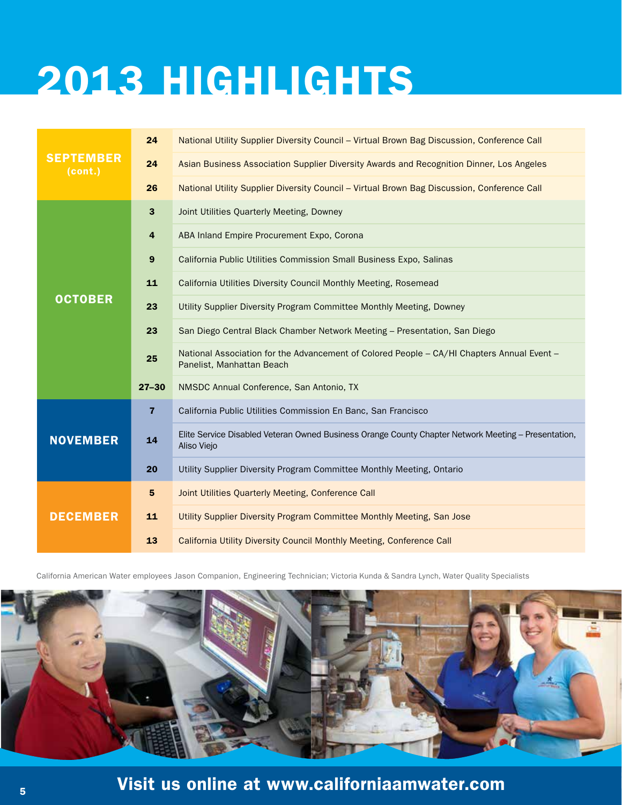|                             | 24                      | National Utility Supplier Diversity Council - Virtual Brown Bag Discussion, Conference Call                             |
|-----------------------------|-------------------------|-------------------------------------------------------------------------------------------------------------------------|
| <b>SEPTEMBER</b><br>(cont.) | 24                      | Asian Business Association Supplier Diversity Awards and Recognition Dinner, Los Angeles                                |
|                             | 26                      | National Utility Supplier Diversity Council - Virtual Brown Bag Discussion, Conference Call                             |
|                             | $\mathbf{3}$            | Joint Utilities Quarterly Meeting, Downey                                                                               |
|                             | $\overline{\mathbf{4}}$ | ABA Inland Empire Procurement Expo, Corona                                                                              |
|                             | $\boldsymbol{9}$        | California Public Utilities Commission Small Business Expo, Salinas                                                     |
|                             | 11                      | California Utilities Diversity Council Monthly Meeting, Rosemead                                                        |
| <b>OCTOBER</b>              | 23                      | Utility Supplier Diversity Program Committee Monthly Meeting, Downey                                                    |
|                             | 23                      | San Diego Central Black Chamber Network Meeting - Presentation, San Diego                                               |
|                             | 25                      | National Association for the Advancement of Colored People - CA/HI Chapters Annual Event -<br>Panelist, Manhattan Beach |
|                             | $27 - 30$               | NMSDC Annual Conference, San Antonio, TX                                                                                |
|                             | $\overline{7}$          | California Public Utilities Commission En Banc, San Francisco                                                           |
| <b>NOVEMBER</b>             | 14                      | Elite Service Disabled Veteran Owned Business Orange County Chapter Network Meeting - Presentation,<br>Aliso Viejo      |
|                             | 20                      | Utility Supplier Diversity Program Committee Monthly Meeting, Ontario                                                   |
|                             | 5                       | Joint Utilities Quarterly Meeting, Conference Call                                                                      |
| <b>DECEMBER</b>             | 11                      | Utility Supplier Diversity Program Committee Monthly Meeting, San Jose                                                  |
|                             | 13                      | California Utility Diversity Council Monthly Meeting, Conference Call                                                   |

California American Water employees Jason Companion, Engineering Technician; Victoria Kunda & Sandra Lynch, Water Quality Specialists

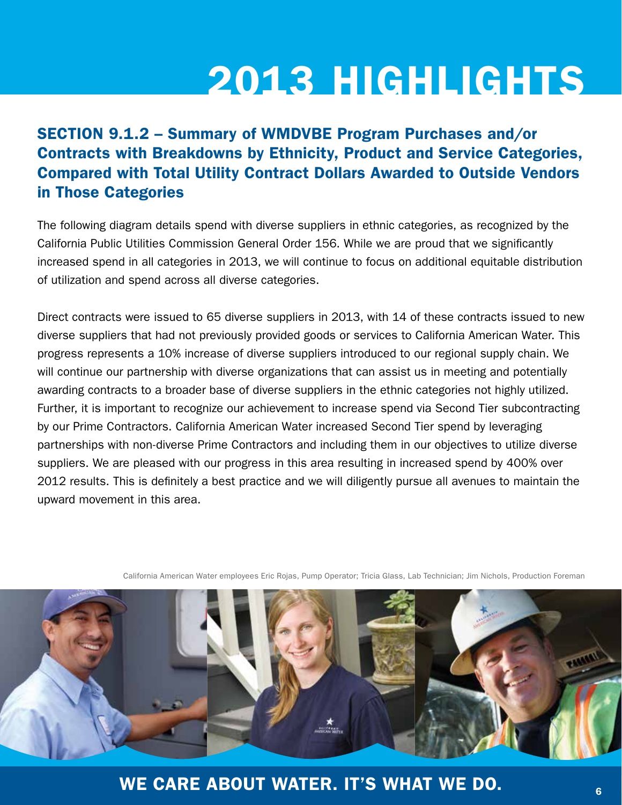#### SECTION 9.1.2 – Summary of WMDVBE Program Purchases and/or Contracts with Breakdowns by Ethnicity, Product and Service Categories, Compared with Total Utility Contract Dollars Awarded to Outside Vendors in Those Categories

The following diagram details spend with diverse suppliers in ethnic categories, as recognized by the California Public Utilities Commission General Order 156. While we are proud that we significantly increased spend in all categories in 2013, we will continue to focus on additional equitable distribution of utilization and spend across all diverse categories.

Direct contracts were issued to 65 diverse suppliers in 2013, with 14 of these contracts issued to new diverse suppliers that had not previously provided goods or services to California American Water. This progress represents a 10% increase of diverse suppliers introduced to our regional supply chain. We will continue our partnership with diverse organizations that can assist us in meeting and potentially awarding contracts to a broader base of diverse suppliers in the ethnic categories not highly utilized. Further, it is important to recognize our achievement to increase spend via Second Tier subcontracting by our Prime Contractors. California American Water increased Second Tier spend by leveraging partnerships with non-diverse Prime Contractors and including them in our objectives to utilize diverse suppliers. We are pleased with our progress in this area resulting in increased spend by 400% over 2012 results. This is definitely a best practice and we will diligently pursue all avenues to maintain the upward movement in this area.

California American Water employees Eric Rojas, Pump Operator; Tricia Glass, Lab Technician; Jim Nichols, Production Foreman



WE CARE ABOUT WATER. IT'S WHAT WE DO.  $\frac{1}{6}$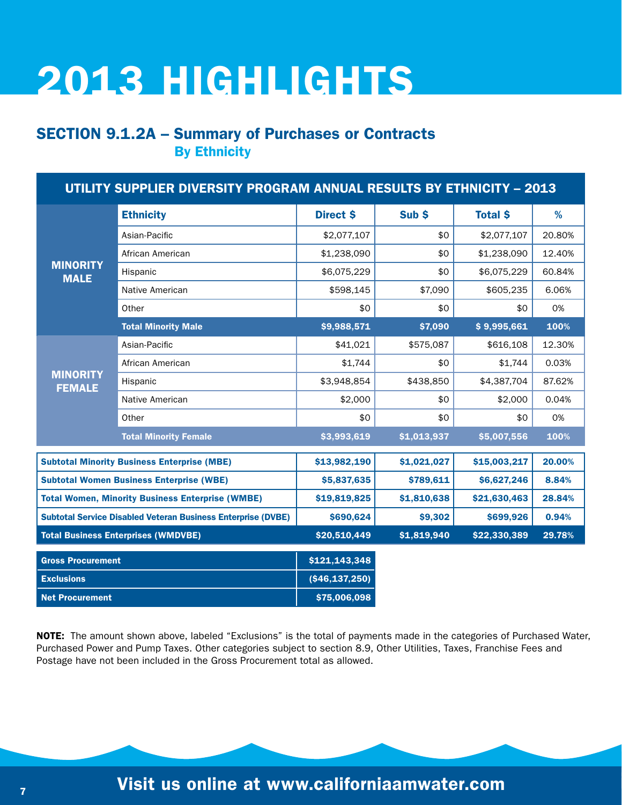#### SECTION 9.1.2A – Summary of Purchases or Contracts By Ethnicity

| UTILITY SUPPLIER DIVERSITY PROGRAM ANNUAL RESULTS BY ETHNICITY - 2013 |                                                                     |                    |             |                 |        |  |
|-----------------------------------------------------------------------|---------------------------------------------------------------------|--------------------|-------------|-----------------|--------|--|
|                                                                       | <b>Ethnicity</b>                                                    | <b>Direct \$</b>   | Sub \$      | <b>Total \$</b> | %      |  |
| <b>MINORITY</b><br><b>MALE</b>                                        | Asian-Pacific                                                       | \$2,077,107        | \$0         | \$2,077,107     | 20.80% |  |
|                                                                       | African American                                                    | \$1,238,090        | \$0         | \$1,238,090     | 12.40% |  |
|                                                                       | Hispanic                                                            | \$6,075,229        | \$0         | \$6,075,229     | 60.84% |  |
|                                                                       | <b>Native American</b>                                              | \$598,145          | \$7,090     | \$605,235       | 6.06%  |  |
|                                                                       | Other                                                               | \$0                | \$0         | \$0             | 0%     |  |
|                                                                       | <b>Total Minority Male</b>                                          | \$9,988,571        | \$7,090     | \$9,995,661     | 100%   |  |
|                                                                       | Asian-Pacific                                                       | \$41,021           | \$575,087   | \$616,108       | 12.30% |  |
| <b>MINORITY</b><br><b>FEMALE</b>                                      | African American                                                    | \$1,744            | \$0         | \$1,744         | 0.03%  |  |
|                                                                       | Hispanic                                                            | \$3,948,854        | \$438,850   | \$4,387,704     | 87.62% |  |
|                                                                       | <b>Native American</b>                                              | \$2,000            | \$0         | \$2,000         | 0.04%  |  |
|                                                                       | Other                                                               | \$0                | \$0         | \$0             | 0%     |  |
|                                                                       | <b>Total Minority Female</b>                                        | \$3,993,619        | \$1,013,937 | \$5,007,556     | 100%   |  |
|                                                                       | <b>Subtotal Minority Business Enterprise (MBE)</b>                  | \$13,982,190       | \$1,021,027 | \$15,003,217    | 20.00% |  |
|                                                                       | <b>Subtotal Women Business Enterprise (WBE)</b>                     | \$5,837,635        | \$789,611   | \$6,627,246     | 8.84%  |  |
|                                                                       | <b>Total Women, Minority Business Enterprise (WMBE)</b>             | \$19,819,825       | \$1,810,638 | \$21,630,463    | 28.84% |  |
|                                                                       | <b>Subtotal Service Disabled Veteran Business Enterprise (DVBE)</b> | \$690,624          | \$9,302     | \$699,926       | 0.94%  |  |
|                                                                       | <b>Total Business Enterprises (WMDVBE)</b>                          | \$20,510,449       | \$1,819,940 | \$22,330,389    | 29.78% |  |
| <b>Gross Procurement</b>                                              |                                                                     | \$121,143,348      |             |                 |        |  |
| <b>Exclusions</b>                                                     |                                                                     | ( \$46, 137, 250 ] |             |                 |        |  |
| <b>Net Procurement</b>                                                |                                                                     | \$75,006,098       |             |                 |        |  |

NOTE: The amount shown above, labeled "Exclusions" is the total of payments made in the categories of Purchased Water, Purchased Power and Pump Taxes. Other categories subject to section 8.9, Other Utilities, Taxes, Franchise Fees and Postage have not been included in the Gross Procurement total as allowed.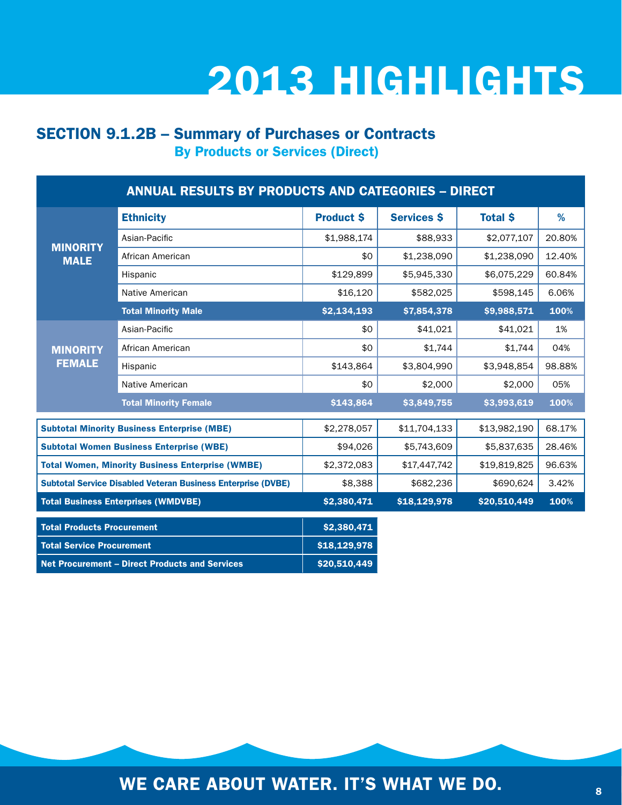#### SECTION 9.1.2B – Summary of Purchases or Contracts By Products or Services (Direct)

| <b>ANNUAL RESULTS BY PRODUCTS AND CATEGORIES - DIRECT</b> |                                                                     |                   |                    |                 |        |  |
|-----------------------------------------------------------|---------------------------------------------------------------------|-------------------|--------------------|-----------------|--------|--|
|                                                           | <b>Ethnicity</b>                                                    | <b>Product \$</b> | <b>Services \$</b> | <b>Total \$</b> | %      |  |
| <b>MINORITY</b><br><b>MALE</b>                            | Asian-Pacific                                                       | \$1,988,174       | \$88,933           | \$2,077,107     | 20.80% |  |
|                                                           | African American                                                    | \$0               | \$1,238,090        | \$1,238,090     | 12.40% |  |
|                                                           | Hispanic                                                            | \$129,899         | \$5,945,330        | \$6,075,229     | 60.84% |  |
|                                                           | Native American                                                     | \$16,120          | \$582,025          | \$598,145       | 6.06%  |  |
|                                                           | <b>Total Minority Male</b>                                          | \$2,134,193       | \$7,854,378        | \$9,988,571     | 100%   |  |
|                                                           | Asian-Pacific                                                       | \$0               | \$41,021           | \$41,021        | 1%     |  |
| <b>MINORITY</b><br><b>FEMALE</b>                          | African American                                                    | \$0               | \$1,744            | \$1,744         | 04%    |  |
|                                                           | Hispanic                                                            | \$143,864         | \$3,804,990        | \$3,948,854     | 98.88% |  |
|                                                           | Native American                                                     | \$0               | \$2,000            | \$2,000         | 05%    |  |
|                                                           | <b>Total Minority Female</b>                                        | \$143,864         | \$3,849,755        | \$3,993,619     | 100%   |  |
|                                                           | <b>Subtotal Minority Business Enterprise (MBE)</b>                  | \$2,278,057       | \$11,704,133       | \$13,982,190    | 68.17% |  |
|                                                           | <b>Subtotal Women Business Enterprise (WBE)</b>                     | \$94,026          | \$5,743,609        | \$5,837,635     | 28.46% |  |
|                                                           | <b>Total Women, Minority Business Enterprise (WMBE)</b>             | \$2,372,083       | \$17,447,742       | \$19,819,825    | 96.63% |  |
|                                                           | <b>Subtotal Service Disabled Veteran Business Enterprise (DVBE)</b> | \$8,388           | \$682,236          | \$690,624       | 3.42%  |  |
|                                                           | <b>Total Business Enterprises (WMDVBE)</b>                          | \$2,380,471       | \$18,129,978       | \$20,510,449    | 100%   |  |
| <b>Total Products Procurement</b>                         |                                                                     | \$2,380,471       |                    |                 |        |  |
| <b>Total Service Procurement</b>                          |                                                                     | \$18,129,978      |                    |                 |        |  |
|                                                           | <b>Net Procurement – Direct Products and Services</b>               | \$20,510,449      |                    |                 |        |  |

WE CARE ABOUT WATER. IT'S WHAT WE DO.  $\frac{1}{8}$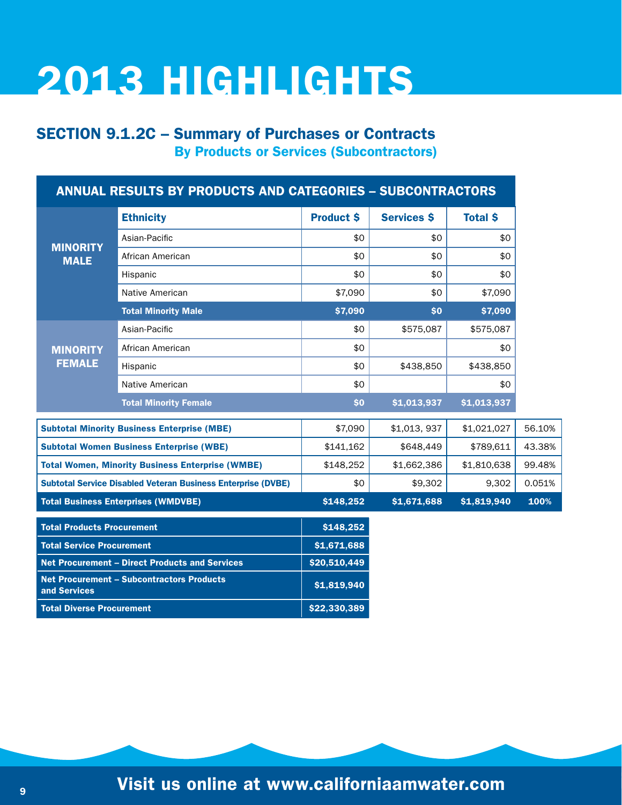#### SECTION 9.1.2C – Summary of Purchases or Contracts By Products or Services (Subcontractors)

|                                                                  | <b>ANNUAL RESULTS BY PRODUCTS AND CATEGORIES - SUBCONTRACTORS</b>   |                   |                    |                 |        |
|------------------------------------------------------------------|---------------------------------------------------------------------|-------------------|--------------------|-----------------|--------|
|                                                                  | <b>Ethnicity</b>                                                    | <b>Product \$</b> | <b>Services \$</b> | <b>Total \$</b> |        |
|                                                                  | Asian-Pacific                                                       | \$0               | \$0                | \$0             |        |
| <b>MINORITY</b><br><b>MALE</b>                                   | African American                                                    | \$0               | \$0                | \$0             |        |
|                                                                  | Hispanic                                                            | \$0               | \$0                | \$0             |        |
|                                                                  | Native American                                                     | \$7,090           | \$0                | \$7,090         |        |
|                                                                  | <b>Total Minority Male</b>                                          | \$7,090           | \$0                | \$7,090         |        |
|                                                                  | Asian-Pacific                                                       | \$0               | \$575,087          | \$575,087       |        |
| <b>MINORITY</b>                                                  | African American                                                    | \$0               |                    | \$0             |        |
| <b>FEMALE</b>                                                    | Hispanic                                                            | \$0               | \$438,850          | \$438,850       |        |
|                                                                  | Native American                                                     | \$0               |                    | \$0             |        |
|                                                                  | <b>Total Minority Female</b>                                        | \$0               | \$1,013,937        | \$1,013,937     |        |
|                                                                  | <b>Subtotal Minority Business Enterprise (MBE)</b>                  | \$7,090           | \$1,013,937        | \$1,021,027     | 56.10% |
|                                                                  | <b>Subtotal Women Business Enterprise (WBE)</b>                     | \$141,162         | \$648,449          | \$789,611       | 43.38% |
|                                                                  | <b>Total Women, Minority Business Enterprise (WMBE)</b>             | \$148,252         | \$1,662,386        | \$1,810,638     | 99.48% |
|                                                                  | <b>Subtotal Service Disabled Veteran Business Enterprise (DVBE)</b> | \$0               | \$9,302            | 9,302           | 0.051% |
|                                                                  | <b>Total Business Enterprises (WMDVBE)</b>                          | \$148,252         | \$1,671,688        | \$1,819,940     | 100%   |
| <b>Total Products Procurement</b>                                |                                                                     | \$148,252         |                    |                 |        |
| <b>Total Service Procurement</b>                                 |                                                                     | \$1,671,688       |                    |                 |        |
|                                                                  | <b>Net Procurement - Direct Products and Services</b>               | \$20,510,449      |                    |                 |        |
| <b>Net Procurement - Subcontractors Products</b><br>and Services |                                                                     | \$1,819,940       |                    |                 |        |
| <b>Total Diverse Procurement</b>                                 |                                                                     | \$22,330,389      |                    |                 |        |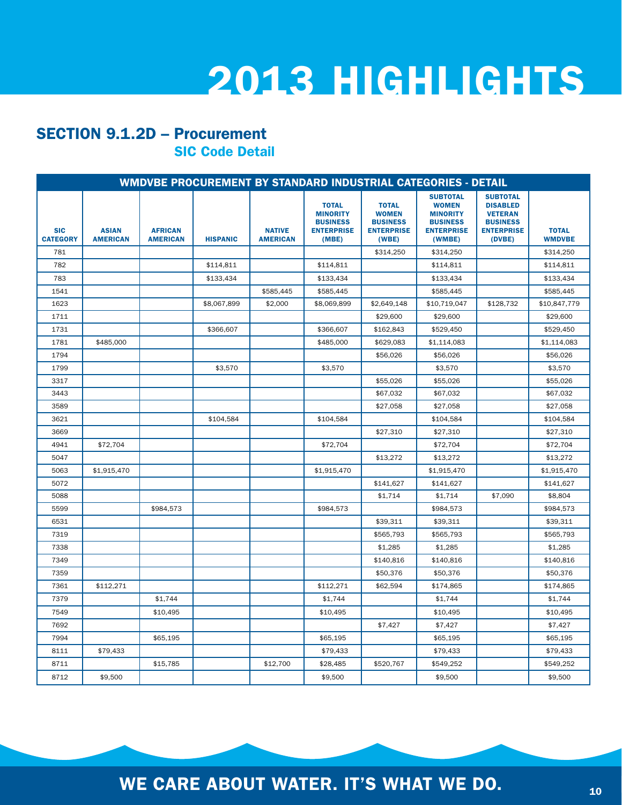#### SECTION 9.1.2D – Procurement SIC Code Detail

|                               | WMDVBE PROCUREMENT BY STANDARD INDUSTRIAL CATEGORIES - DETAIL |                                   |                 |                                  |                                                                                  |                                                                               |                                                                                                      |                                                                                                        |                               |
|-------------------------------|---------------------------------------------------------------|-----------------------------------|-----------------|----------------------------------|----------------------------------------------------------------------------------|-------------------------------------------------------------------------------|------------------------------------------------------------------------------------------------------|--------------------------------------------------------------------------------------------------------|-------------------------------|
| <b>SIC</b><br><b>CATEGORY</b> | <b>ASIAN</b><br><b>AMERICAN</b>                               | <b>AFRICAN</b><br><b>AMERICAN</b> | <b>HISPANIC</b> | <b>NATIVE</b><br><b>AMERICAN</b> | <b>TOTAL</b><br><b>MINORITY</b><br><b>BUSINESS</b><br><b>ENTERPRISE</b><br>(MBE) | <b>TOTAL</b><br><b>WOMEN</b><br><b>BUSINESS</b><br><b>ENTERPRISE</b><br>(WBE) | <b>SUBTOTAL</b><br><b>WOMEN</b><br><b>MINORITY</b><br><b>BUSINESS</b><br><b>ENTERPRISE</b><br>(WMBE) | <b>SUBTOTAL</b><br><b>DISABLED</b><br><b>VETERAN</b><br><b>BUSINESS</b><br><b>ENTERPRISE</b><br>(DVBE) | <b>TOTAL</b><br><b>WMDVBE</b> |
| 781                           |                                                               |                                   |                 |                                  |                                                                                  | \$314,250                                                                     | \$314,250                                                                                            |                                                                                                        | \$314,250                     |
| 782                           |                                                               |                                   | \$114,811       |                                  | \$114,811                                                                        |                                                                               | \$114,811                                                                                            |                                                                                                        | \$114,811                     |
| 783                           |                                                               |                                   | \$133,434       |                                  | \$133,434                                                                        |                                                                               | \$133,434                                                                                            |                                                                                                        | \$133,434                     |
| 1541                          |                                                               |                                   |                 | \$585,445                        | \$585,445                                                                        |                                                                               | \$585,445                                                                                            |                                                                                                        | \$585,445                     |
| 1623                          |                                                               |                                   | \$8,067,899     | \$2,000                          | \$8,069,899                                                                      | \$2,649,148                                                                   | \$10,719,047                                                                                         | \$128,732                                                                                              | \$10,847,779                  |
| 1711                          |                                                               |                                   |                 |                                  |                                                                                  | \$29,600                                                                      | \$29,600                                                                                             |                                                                                                        | \$29,600                      |
| 1731                          |                                                               |                                   | \$366,607       |                                  | \$366,607                                                                        | \$162,843                                                                     | \$529,450                                                                                            |                                                                                                        | \$529,450                     |
| 1781                          | \$485,000                                                     |                                   |                 |                                  | \$485,000                                                                        | \$629,083                                                                     | \$1,114,083                                                                                          |                                                                                                        | \$1,114,083                   |
| 1794                          |                                                               |                                   |                 |                                  |                                                                                  | \$56,026                                                                      | \$56,026                                                                                             |                                                                                                        | \$56,026                      |
| 1799                          |                                                               |                                   | \$3,570         |                                  | \$3,570                                                                          |                                                                               | \$3,570                                                                                              |                                                                                                        | \$3,570                       |
| 3317                          |                                                               |                                   |                 |                                  |                                                                                  | \$55,026                                                                      | \$55,026                                                                                             |                                                                                                        | \$55,026                      |
| 3443                          |                                                               |                                   |                 |                                  |                                                                                  | \$67,032                                                                      | \$67,032                                                                                             |                                                                                                        | \$67,032                      |
| 3589                          |                                                               |                                   |                 |                                  |                                                                                  | \$27,058                                                                      | \$27,058                                                                                             |                                                                                                        | \$27,058                      |
| 3621                          |                                                               |                                   | \$104,584       |                                  | \$104,584                                                                        |                                                                               | \$104,584                                                                                            |                                                                                                        | \$104,584                     |
| 3669                          |                                                               |                                   |                 |                                  |                                                                                  | \$27,310                                                                      | \$27,310                                                                                             |                                                                                                        | \$27,310                      |
| 4941                          | \$72,704                                                      |                                   |                 |                                  | \$72,704                                                                         |                                                                               | \$72,704                                                                                             |                                                                                                        | \$72,704                      |
| 5047                          |                                                               |                                   |                 |                                  |                                                                                  | \$13,272                                                                      | \$13,272                                                                                             |                                                                                                        | \$13,272                      |
| 5063                          | \$1.915.470                                                   |                                   |                 |                                  | \$1.915.470                                                                      |                                                                               | \$1,915,470                                                                                          |                                                                                                        | \$1.915.470                   |
| 5072                          |                                                               |                                   |                 |                                  |                                                                                  | \$141,627                                                                     | \$141,627                                                                                            |                                                                                                        | \$141,627                     |
| 5088                          |                                                               |                                   |                 |                                  |                                                                                  | \$1,714                                                                       | \$1.714                                                                                              | \$7,090                                                                                                | \$8.804                       |
| 5599                          |                                                               | \$984,573                         |                 |                                  | \$984,573                                                                        |                                                                               | \$984,573                                                                                            |                                                                                                        | \$984,573                     |
| 6531                          |                                                               |                                   |                 |                                  |                                                                                  | \$39,311                                                                      | \$39.311                                                                                             |                                                                                                        | \$39.311                      |
| 7319                          |                                                               |                                   |                 |                                  |                                                                                  | \$565,793                                                                     | \$565,793                                                                                            |                                                                                                        | \$565,793                     |
| 7338                          |                                                               |                                   |                 |                                  |                                                                                  | \$1,285                                                                       | \$1,285                                                                                              |                                                                                                        | \$1,285                       |
| 7349                          |                                                               |                                   |                 |                                  |                                                                                  | \$140,816                                                                     | \$140,816                                                                                            |                                                                                                        | \$140,816                     |
| 7359                          |                                                               |                                   |                 |                                  |                                                                                  | \$50,376                                                                      | \$50,376                                                                                             |                                                                                                        | \$50,376                      |
| 7361                          | \$112,271                                                     |                                   |                 |                                  | \$112,271                                                                        | \$62,594                                                                      | \$174,865                                                                                            |                                                                                                        | \$174,865                     |
| 7379                          |                                                               | \$1,744                           |                 |                                  | \$1,744                                                                          |                                                                               | \$1,744                                                                                              |                                                                                                        | \$1,744                       |
| 7549                          |                                                               | \$10,495                          |                 |                                  | \$10,495                                                                         |                                                                               | \$10,495                                                                                             |                                                                                                        | \$10,495                      |
| 7692                          |                                                               |                                   |                 |                                  |                                                                                  | \$7,427                                                                       | \$7,427                                                                                              |                                                                                                        | \$7,427                       |
| 7994                          |                                                               | \$65,195                          |                 |                                  | \$65,195                                                                         |                                                                               | \$65,195                                                                                             |                                                                                                        | \$65.195                      |
| 8111                          | \$79,433                                                      |                                   |                 |                                  | \$79,433                                                                         |                                                                               | \$79,433                                                                                             |                                                                                                        | \$79,433                      |
| 8711                          |                                                               | \$15,785                          |                 | \$12,700                         | \$28,485                                                                         | \$520,767                                                                     | \$549.252                                                                                            |                                                                                                        | \$549.252                     |
| 8712                          | \$9,500                                                       |                                   |                 |                                  | \$9,500                                                                          |                                                                               | \$9,500                                                                                              |                                                                                                        | \$9,500                       |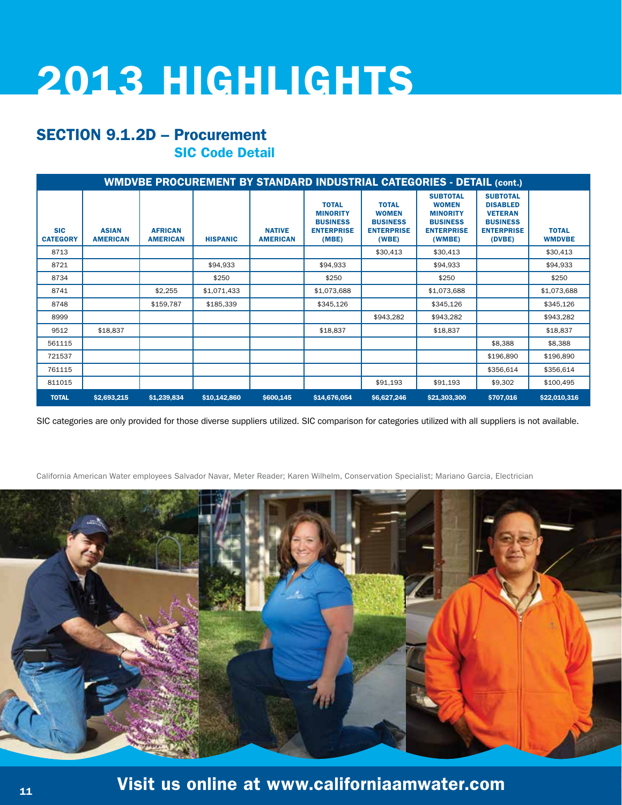#### SECTION 9.1.2D – Procurement SIC Code Detail

|                               | <b>WMDVBE PROCUREMENT BY STANDARD INDUSTRIAL CATEGORIES - DETAIL (cont.)</b> |                                   |                 |                                  |                                                                                  |                                                                               |                                                                                                      |                                                                                                        |                               |
|-------------------------------|------------------------------------------------------------------------------|-----------------------------------|-----------------|----------------------------------|----------------------------------------------------------------------------------|-------------------------------------------------------------------------------|------------------------------------------------------------------------------------------------------|--------------------------------------------------------------------------------------------------------|-------------------------------|
| <b>SIC</b><br><b>CATEGORY</b> | <b>ASIAN</b><br><b>AMERICAN</b>                                              | <b>AFRICAN</b><br><b>AMERICAN</b> | <b>HISPANIC</b> | <b>NATIVE</b><br><b>AMERICAN</b> | <b>TOTAL</b><br><b>MINORITY</b><br><b>BUSINESS</b><br><b>ENTERPRISE</b><br>(MBE) | <b>TOTAL</b><br><b>WOMEN</b><br><b>BUSINESS</b><br><b>ENTERPRISE</b><br>(WBE) | <b>SUBTOTAL</b><br><b>WOMEN</b><br><b>MINORITY</b><br><b>BUSINESS</b><br><b>ENTERPRISE</b><br>(WMBE) | <b>SUBTOTAL</b><br><b>DISABLED</b><br><b>VETERAN</b><br><b>BUSINESS</b><br><b>ENTERPRISE</b><br>(DVBE) | <b>TOTAL</b><br><b>WMDVBE</b> |
| 8713                          |                                                                              |                                   |                 |                                  |                                                                                  | \$30,413                                                                      | \$30,413                                                                                             |                                                                                                        | \$30.413                      |
| 8721                          |                                                                              |                                   | \$94,933        |                                  | \$94,933                                                                         |                                                                               | \$94,933                                                                                             |                                                                                                        | \$94,933                      |
| 8734                          |                                                                              |                                   | \$250           |                                  | \$250                                                                            |                                                                               | \$250                                                                                                |                                                                                                        | \$250                         |
| 8741                          |                                                                              | \$2,255                           | \$1,071,433     |                                  | \$1,073,688                                                                      |                                                                               | \$1,073,688                                                                                          |                                                                                                        | \$1,073,688                   |
| 8748                          |                                                                              | \$159,787                         | \$185,339       |                                  | \$345,126                                                                        |                                                                               | \$345,126                                                                                            |                                                                                                        | \$345,126                     |
| 8999                          |                                                                              |                                   |                 |                                  |                                                                                  | \$943,282                                                                     | \$943,282                                                                                            |                                                                                                        | \$943,282                     |
| 9512                          | \$18,837                                                                     |                                   |                 |                                  | \$18,837                                                                         |                                                                               | \$18,837                                                                                             |                                                                                                        | \$18,837                      |
| 561115                        |                                                                              |                                   |                 |                                  |                                                                                  |                                                                               |                                                                                                      | \$8,388                                                                                                | \$8,388                       |
| 721537                        |                                                                              |                                   |                 |                                  |                                                                                  |                                                                               |                                                                                                      | \$196,890                                                                                              | \$196,890                     |
| 761115                        |                                                                              |                                   |                 |                                  |                                                                                  |                                                                               |                                                                                                      | \$356,614                                                                                              | \$356,614                     |
| 811015                        |                                                                              |                                   |                 |                                  |                                                                                  | \$91,193                                                                      | \$91,193                                                                                             | \$9,302                                                                                                | \$100,495                     |
| <b>TOTAL</b>                  | \$2,693,215                                                                  | \$1,239,834                       | \$10,142,860    | \$600,145                        | \$14,676,054                                                                     | \$6,627,246                                                                   | \$21,303,300                                                                                         | \$707,016                                                                                              | \$22,010,316                  |

SIC categories are only provided for those diverse suppliers utilized. SIC comparison for categories utilized with all suppliers is not available.

California American Water employees Salvador Navar, Meter Reader; Karen Wilhelm, Conservation Specialist; Mariano Garcia, Electrician

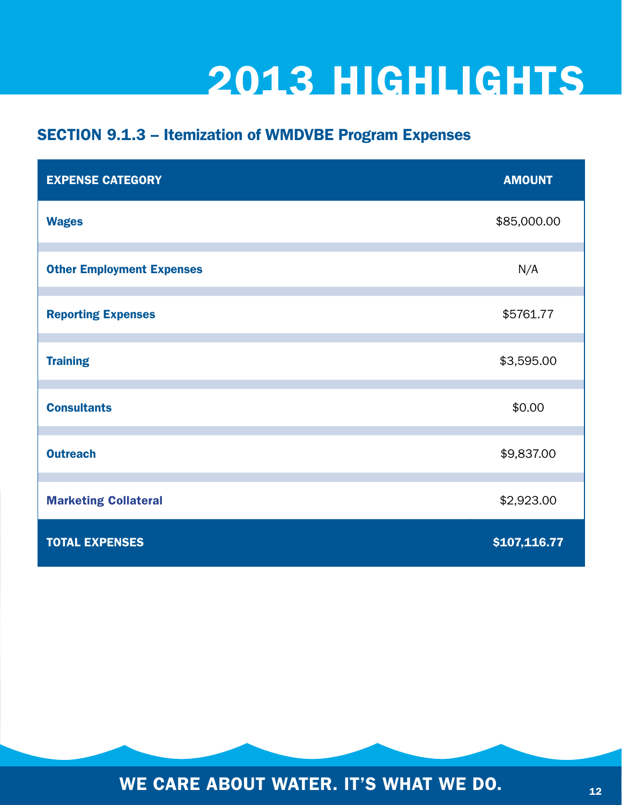#### SECTION 9.1.3 – Itemization of WMDVBE Program Expenses

| <b>EXPENSE CATEGORY</b>          | <b>AMOUNT</b> |
|----------------------------------|---------------|
| <b>Wages</b>                     | \$85,000.00   |
| <b>Other Employment Expenses</b> | N/A           |
| <b>Reporting Expenses</b>        | \$5761.77     |
| <b>Training</b>                  | \$3,595.00    |
| <b>Consultants</b>               | \$0.00        |
| <b>Outreach</b>                  | \$9,837.00    |
| <b>Marketing Collateral</b>      | \$2,923.00    |
| <b>TOTAL EXPENSES</b>            | \$107,116.77  |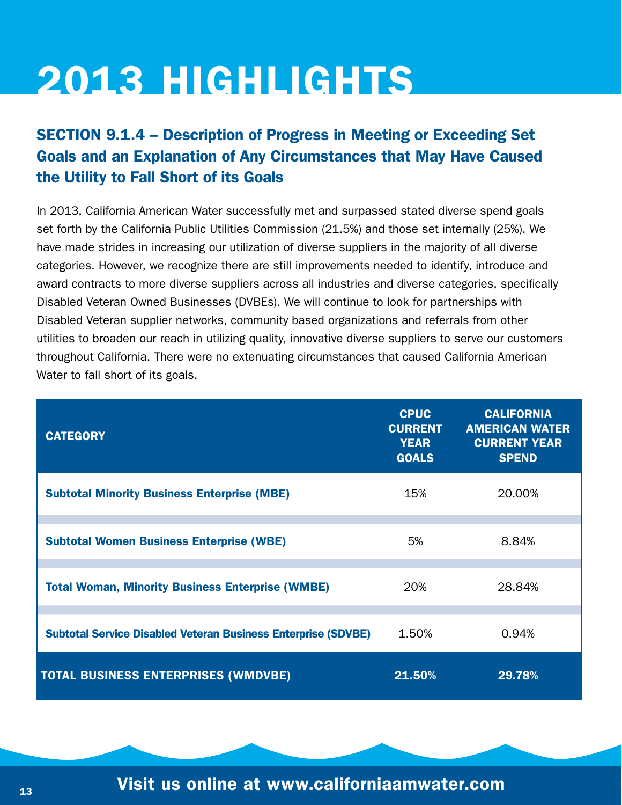#### SECTION 9.1.4 – Description of Progress in Meeting or Exceeding Set Goals and an Explanation of Any Circumstances that May Have Caused the Utility to Fall Short of its Goals

In 2013, California American Water successfully met and surpassed stated diverse spend goals set forth by the California Public Utilities Commission (21.5%) and those set internally (25%). We have made strides in increasing our utilization of diverse suppliers in the majority of all diverse categories. However, we recognize there are still improvements needed to identify, introduce and award contracts to more diverse suppliers across all industries and diverse categories, specifically Disabled Veteran Owned Businesses (DVBEs). We will continue to look for partnerships with Disabled Veteran supplier networks, community based organizations and referrals from other utilities to broaden our reach in utilizing quality, innovative diverse suppliers to serve our customers throughout California. There were no extenuating circumstances that caused California American Water to fall short of its goals.

| <b>CATEGORY</b>                                                      | <b>CPUC</b><br><b>CURRENT</b><br><b>YEAR</b><br><b>GOALS</b> | <b>CALIFORNIA</b><br><b>AMERICAN WATER</b><br><b>CURRENT YEAR</b><br><b>SPEND</b> |
|----------------------------------------------------------------------|--------------------------------------------------------------|-----------------------------------------------------------------------------------|
| <b>Subtotal Minority Business Enterprise (MBE)</b>                   | 15%                                                          | 20,00%                                                                            |
| <b>Subtotal Women Business Enterprise (WBE)</b>                      | 5%                                                           | 8.84%                                                                             |
| <b>Total Woman, Minority Business Enterprise (WMBE)</b>              | 20%                                                          | 28.84%                                                                            |
| <b>Subtotal Service Disabled Veteran Business Enterprise (SDVBE)</b> | 1.50%                                                        | 0.94%                                                                             |
| <b>TOTAL BUSINESS ENTERPRISES (WMDVBE)</b>                           | 21.50%                                                       | 29.78%                                                                            |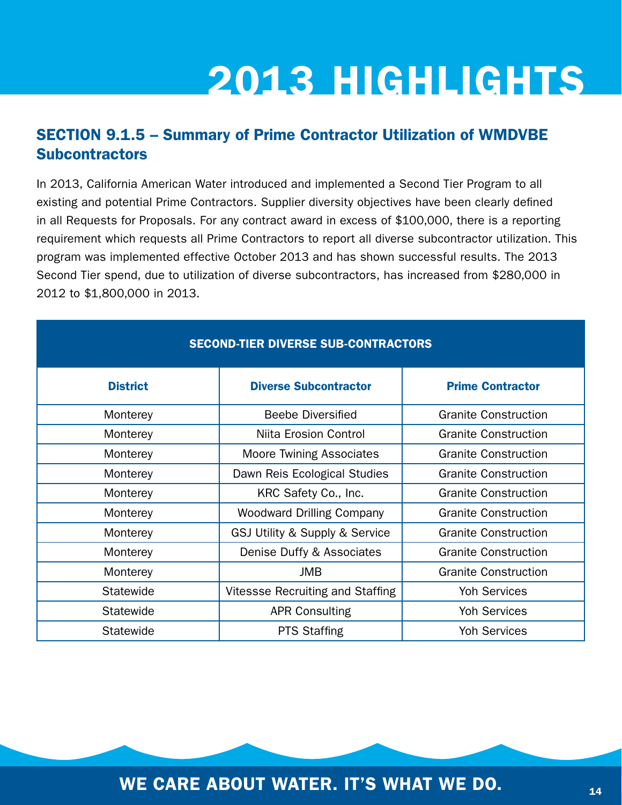#### SECTION 9.1.5 – Summary of Prime Contractor Utilization of WMDVBE **Subcontractors**

In 2013, California American Water introduced and implemented a Second Tier Program to all existing and potential Prime Contractors. Supplier diversity objectives have been clearly defined in all Requests for Proposals. For any contract award in excess of \$100,000, there is a reporting requirement which requests all Prime Contractors to report all diverse subcontractor utilization. This program was implemented effective October 2013 and has shown successful results. The 2013 Second Tier spend, due to utilization of diverse subcontractors, has increased from \$280,000 in 2012 to \$1,800,000 in 2013.

| <b>SECOND-TIER DIVERSE SUB-CONTRACTORS</b> |                                         |                             |  |  |  |
|--------------------------------------------|-----------------------------------------|-----------------------------|--|--|--|
| <b>District</b>                            | <b>Diverse Subcontractor</b>            | <b>Prime Contractor</b>     |  |  |  |
| Monterey                                   | <b>Beebe Diversified</b>                | <b>Granite Construction</b> |  |  |  |
| Monterey                                   | Niita Erosion Control                   | <b>Granite Construction</b> |  |  |  |
| Monterey                                   | <b>Moore Twining Associates</b>         | <b>Granite Construction</b> |  |  |  |
| Monterey                                   | Dawn Reis Ecological Studies            | <b>Granite Construction</b> |  |  |  |
| Monterey                                   | KRC Safety Co., Inc.                    | <b>Granite Construction</b> |  |  |  |
| Monterey                                   | <b>Woodward Drilling Company</b>        | <b>Granite Construction</b> |  |  |  |
| Monterey                                   | GSJ Utility & Supply & Service          | <b>Granite Construction</b> |  |  |  |
| Monterey                                   | Denise Duffy & Associates               | <b>Granite Construction</b> |  |  |  |
| Monterey                                   | <b>JMB</b>                              | <b>Granite Construction</b> |  |  |  |
| Statewide                                  | <b>Vitessse Recruiting and Staffing</b> | <b>Yoh Services</b>         |  |  |  |
| Statewide                                  | <b>APR Consulting</b>                   | <b>Yoh Services</b>         |  |  |  |
| Statewide                                  | <b>PTS Staffing</b>                     | <b>Yoh Services</b>         |  |  |  |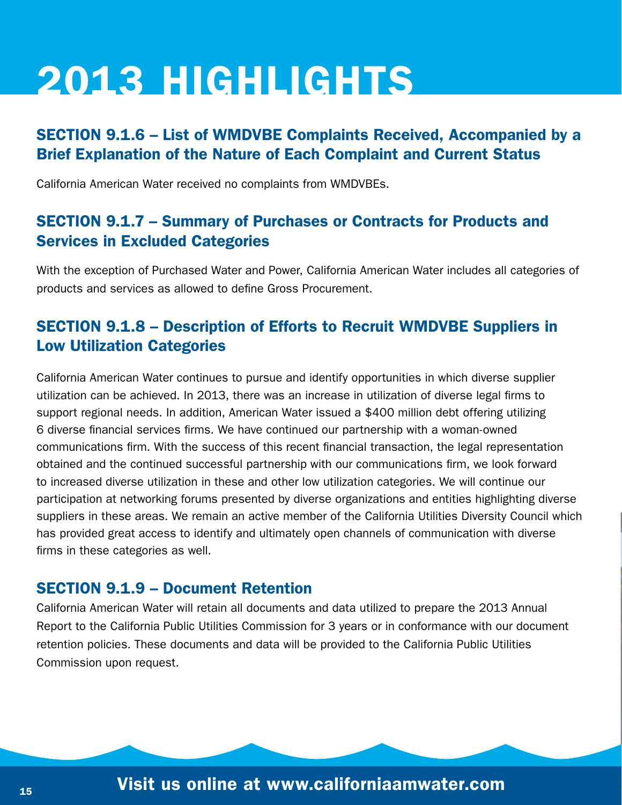#### SECTION 9.1.6 – List of WMDVBE Complaints Received, Accompanied by a Brief Explanation of the Nature of Each Complaint and Current Status

California American Water received no complaints from WMDVBEs.

#### SECTION 9.1.7 – Summary of Purchases or Contracts for Products and Services in Excluded Categories

With the exception of Purchased Water and Power, California American Water includes all categories of products and services as allowed to define Gross Procurement.

#### SECTION 9.1.8 – Description of Efforts to Recruit WMDVBE Suppliers in Low Utilization Categories

California American Water continues to pursue and identify opportunities in which diverse supplier utilization can be achieved. In 2013, there was an increase in utilization of diverse legal firms to support regional needs. In addition, American Water issued a \$400 million debt offering utilizing 6 diverse financial services firms. We have continued our partnership with a woman-owned communications firm. With the success of this recent financial transaction, the legal representation obtained and the continued successful partnership with our communications firm, we look forward to increased diverse utilization in these and other low utilization categories. We will continue our participation at networking forums presented by diverse organizations and entities highlighting diverse suppliers in these areas. We remain an active member of the California Utilities Diversity Council which has provided great access to identify and ultimately open channels of communication with diverse firms in these categories as well.

#### SECTION 9.1.9 – Document Retention

California American Water will retain all documents and data utilized to prepare the 2013 Annual Report to the California Public Utilities Commission for 3 years or in conformance with our document retention policies. These documents and data will be provided to the California Public Utilities Commission upon request.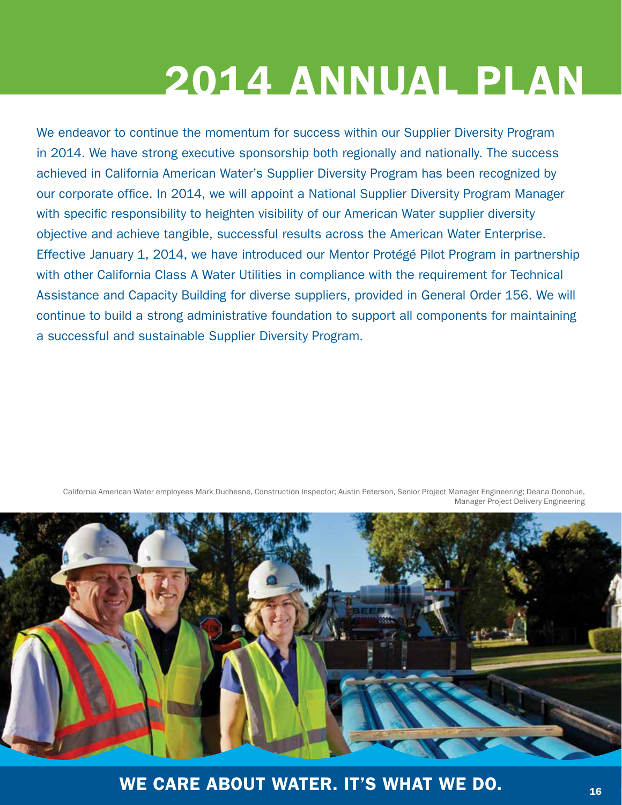We endeavor to continue the momentum for success within our Supplier Diversity Program in 2014. We have strong executive sponsorship both regionally and nationally. The success achieved in California American Water's Supplier Diversity Program has been recognized by our corporate office. In 2014, we will appoint a National Supplier Diversity Program Manager with specific responsibility to heighten visibility of our American Water supplier diversity objective and achieve tangible, successful results across the American Water Enterprise. Effective January 1, 2014, we have introduced our Mentor Protégé Pilot Program in partnership with other California Class A Water Utilities in compliance with the requirement for Technical Assistance and Capacity Building for diverse suppliers, provided in General Order 156. We will continue to build a strong administrative foundation to support all components for maintaining a successful and sustainable Supplier Diversity Program.

California American Water employees Mark Duchesne, Construction Inspector; Austin Peterson, Senior Project Manager Engineering; Deana Donohue, Manager Project Delivery Engineering

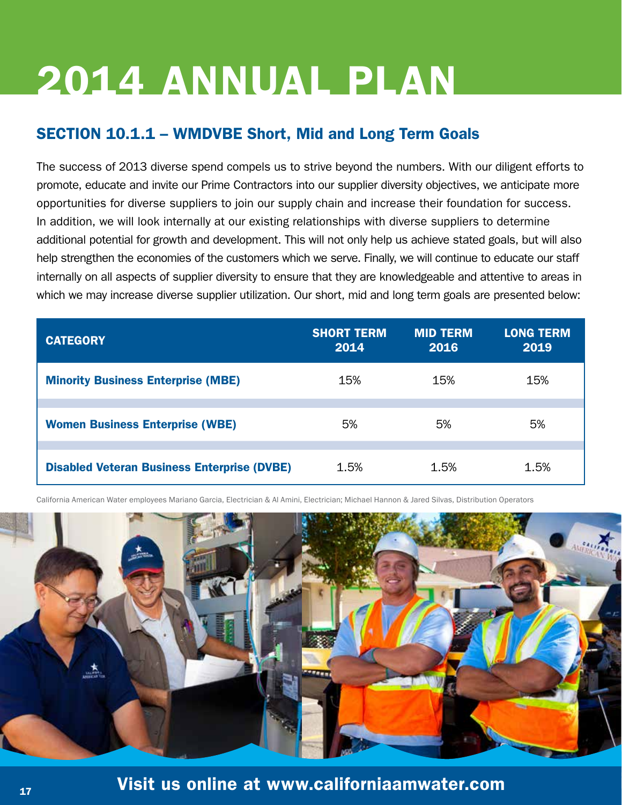#### SECTION 10.1.1 – WMDVBE Short, Mid and Long Term Goals

The success of 2013 diverse spend compels us to strive beyond the numbers. With our diligent efforts to promote, educate and invite our Prime Contractors into our supplier diversity objectives, we anticipate more opportunities for diverse suppliers to join our supply chain and increase their foundation for success. In addition, we will look internally at our existing relationships with diverse suppliers to determine additional potential for growth and development. This will not only help us achieve stated goals, but will also help strengthen the economies of the customers which we serve. Finally, we will continue to educate our staff internally on all aspects of supplier diversity to ensure that they are knowledgeable and attentive to areas in which we may increase diverse supplier utilization. Our short, mid and long term goals are presented below:

| <b>CATEGORY</b>                                    | <b>SHORT TERM</b><br>2014 | <b>MID TERM</b><br>2016 | <b>LONG TERM</b><br>2019 |
|----------------------------------------------------|---------------------------|-------------------------|--------------------------|
| <b>Minority Business Enterprise (MBE)</b>          | 15%                       | 15%                     | 15%                      |
| <b>Women Business Enterprise (WBE)</b>             | 5%                        | 5%                      | 5%                       |
| <b>Disabled Veteran Business Enterprise (DVBE)</b> | 1.5%                      | 1.5%                    | 1.5%                     |

California American Water employees Mariano Garcia, Electrician & Al Amini, Electrician; Michael Hannon & Jared Silvas, Distribution Operators

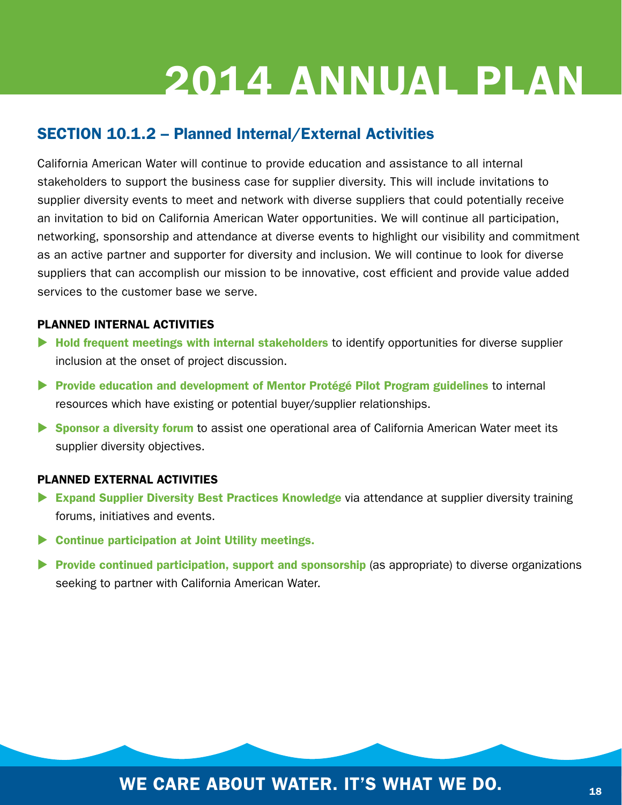#### SECTION 10.1.2 – Planned Internal/External Activities

California American Water will continue to provide education and assistance to all internal stakeholders to support the business case for supplier diversity. This will include invitations to supplier diversity events to meet and network with diverse suppliers that could potentially receive an invitation to bid on California American Water opportunities. We will continue all participation, networking, sponsorship and attendance at diverse events to highlight our visibility and commitment as an active partner and supporter for diversity and inclusion. We will continue to look for diverse suppliers that can accomplish our mission to be innovative, cost efficient and provide value added services to the customer base we serve.

#### PLANNED INTERNAL ACTIVITIES

- $\blacktriangleright$  Hold frequent meetings with internal stakeholders to identify opportunities for diverse supplier inclusion at the onset of project discussion.
- **> Provide education and development of Mentor Protégé Pilot Program guidelines to internal** resources which have existing or potential buyer/supplier relationships.
- **Sponsor a diversity forum** to assist one operational area of California American Water meet its supplier diversity objectives.

#### PLANNED EXTERNAL ACTIVITIES

- Expand Supplier Diversity Best Practices Knowledge via attendance at supplier diversity training forums, initiatives and events.
- $\triangleright$  Continue participation at Joint Utility meetings.
- **Provide continued participation, support and sponsorship** (as appropriate) to diverse organizations seeking to partner with California American Water.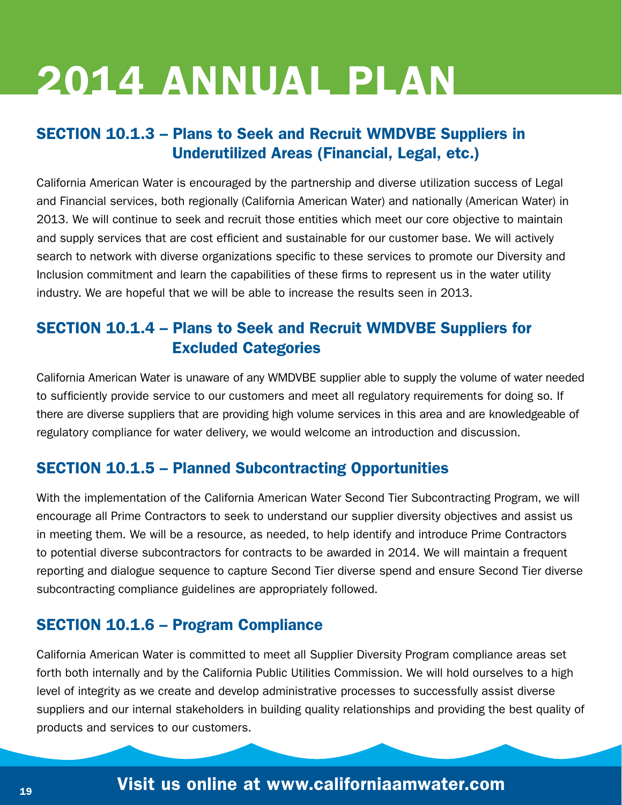#### SECTION 10.1.3 – Plans to Seek and Recruit WMDVBE Suppliers in Underutilized Areas (Financial, Legal, etc.)

California American Water is encouraged by the partnership and diverse utilization success of Legal and Financial services, both regionally (California American Water) and nationally (American Water) in 2013. We will continue to seek and recruit those entities which meet our core objective to maintain and supply services that are cost efficient and sustainable for our customer base. We will actively search to network with diverse organizations specific to these services to promote our Diversity and Inclusion commitment and learn the capabilities of these firms to represent us in the water utility industry. We are hopeful that we will be able to increase the results seen in 2013.

#### SECTION 10.1.4 – Plans to Seek and Recruit WMDVBE Suppliers for Excluded Categories

California American Water is unaware of any WMDVBE supplier able to supply the volume of water needed to sufficiently provide service to our customers and meet all regulatory requirements for doing so. If there are diverse suppliers that are providing high volume services in this area and are knowledgeable of regulatory compliance for water delivery, we would welcome an introduction and discussion.

#### SECTION 10.1.5 – Planned Subcontracting Opportunities

With the implementation of the California American Water Second Tier Subcontracting Program, we will encourage all Prime Contractors to seek to understand our supplier diversity objectives and assist us in meeting them. We will be a resource, as needed, to help identify and introduce Prime Contractors to potential diverse subcontractors for contracts to be awarded in 2014. We will maintain a frequent reporting and dialogue sequence to capture Second Tier diverse spend and ensure Second Tier diverse subcontracting compliance guidelines are appropriately followed.

#### SECTION 10.1.6 – Program Compliance

California American Water is committed to meet all Supplier Diversity Program compliance areas set forth both internally and by the California Public Utilities Commission. We will hold ourselves to a high level of integrity as we create and develop administrative processes to successfully assist diverse suppliers and our internal stakeholders in building quality relationships and providing the best quality of products and services to our customers.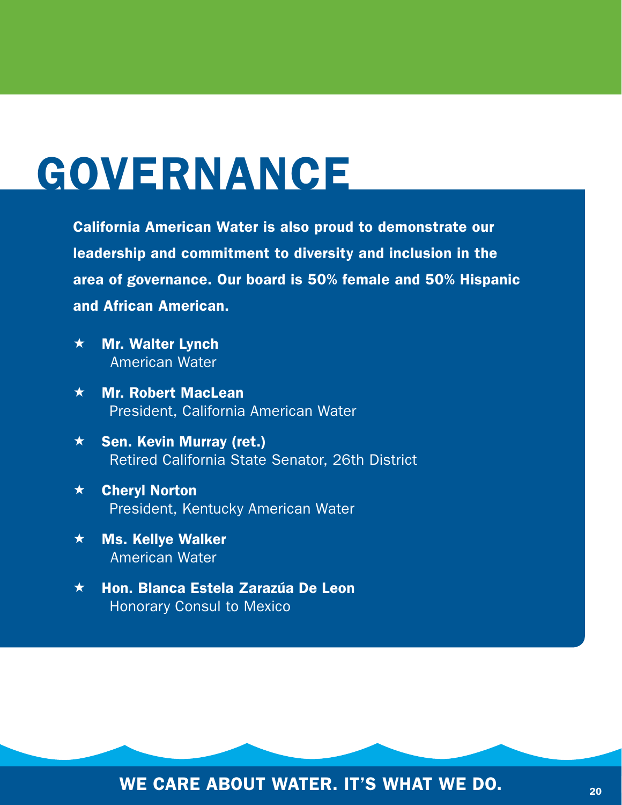## GOVERNANCE

California American Water is also proud to demonstrate our leadership and commitment to diversity and inclusion in the area of governance. Our board is 50% female and 50% Hispanic and African American.

- $\star$  Mr. Walter Lynch American Water
- $\star$  Mr. Robert MacLean President, California American Water
- $\star$  Sen. Kevin Murray (ret.) Retired California State Senator, 26th District
- Cheryl Norton President, Kentucky American Water
- $\star$  Ms. Kellye Walker American Water
- **★ Hon. Blanca Estela Zarazúa De Leon** Honorary Consul to Mexico